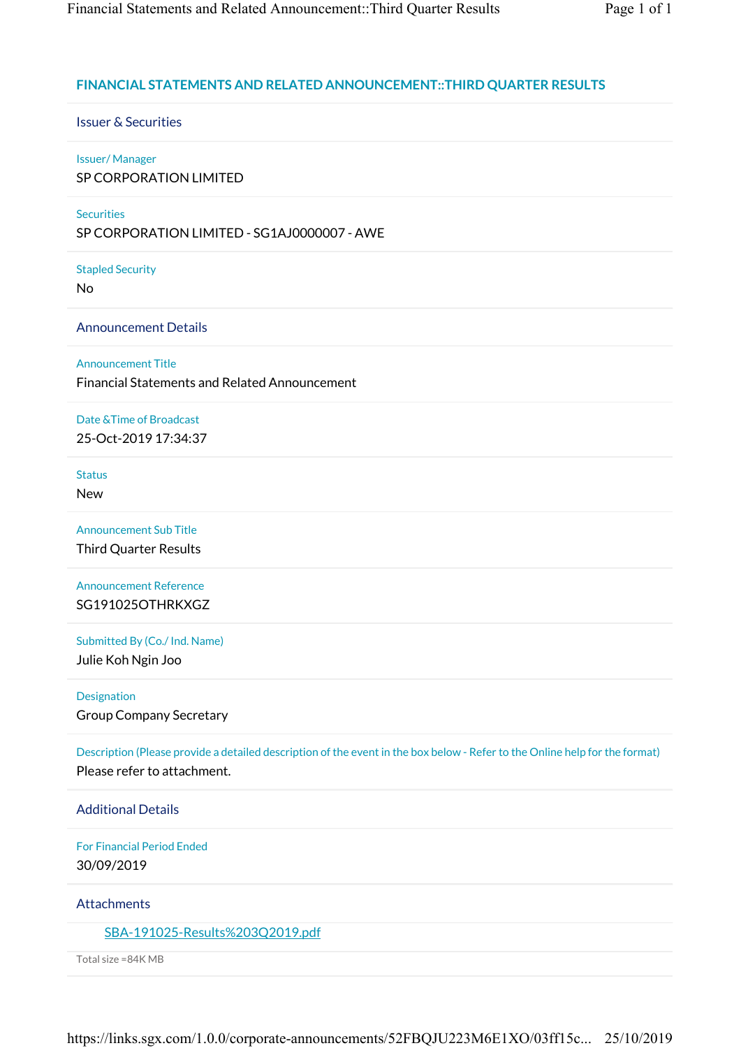# **FINANCIAL STATEMENTS AND RELATED ANNOUNCEMENT::THIRD QUARTER RESULTS**

Issuer & Securities

# Issuer/ Manager

SP CORPORATION LIMITED

# **Securities**

SP CORPORATION LIMITED - SG1AJ0000007 - AWE

Stapled Security

No

Announcement Details

Announcement Title

Financial Statements and Related Announcement

Date &Time of Broadcast 25-Oct-2019 17:34:37

Status New

Announcement Sub Title Third Quarter Results

Announcement Reference SG191025OTHRKXGZ

Submitted By (Co./ Ind. Name)

Julie Koh Ngin Joo

Designation

Group Company Secretary

Description (Please provide a detailed description of the event in the box below - Refer to the Online help for the format) Please refer to attachment.

Additional Details

For Financial Period Ended 30/09/2019

**Attachments** 

SBA-191025-Results%203Q2019.pdf

Total size =84K MB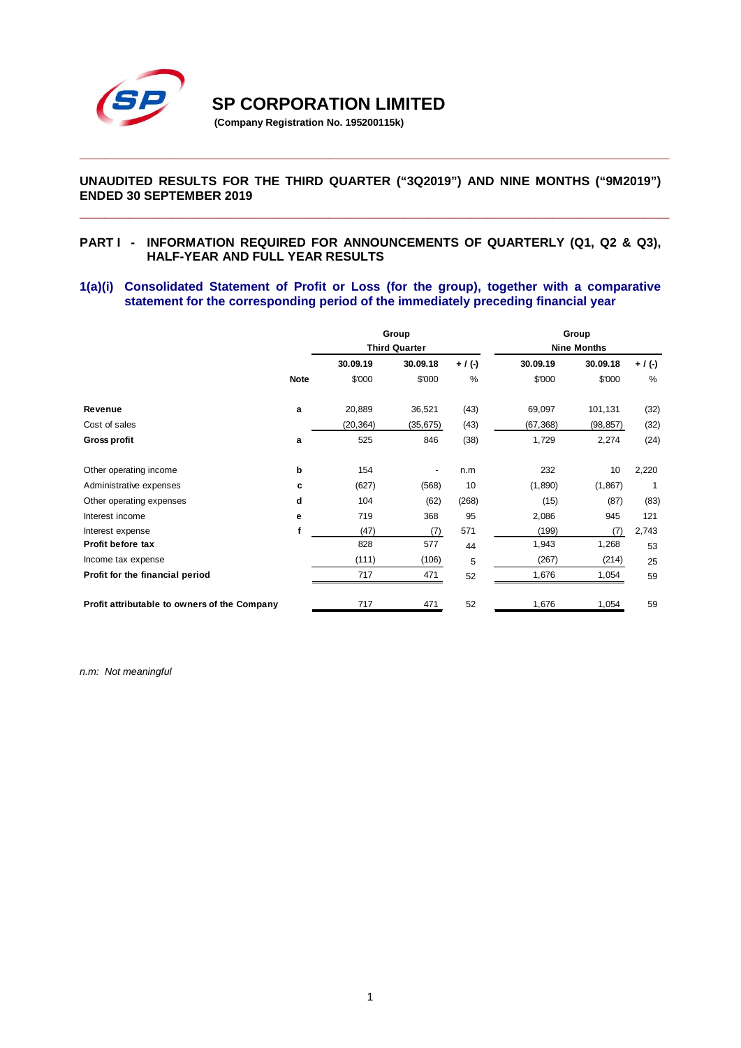

**SP CORPORATION LIMITED** 

**(Company Registration No. 195200115k)**

# **UNAUDITED RESULTS FOR THE THIRD QUARTER ("3Q2019") AND NINE MONTHS ("9M2019") ENDED 30 SEPTEMBER 2019**

**\_\_\_\_\_\_\_\_\_\_\_\_\_\_\_\_\_\_\_\_\_\_\_\_\_\_\_\_\_\_\_\_\_\_\_\_\_\_\_\_\_\_\_\_\_\_\_\_\_\_\_\_\_\_\_\_\_\_\_\_\_\_\_\_\_\_\_\_\_\_\_**

**\_\_\_\_\_\_\_\_\_\_\_\_\_\_\_\_\_\_\_\_\_\_\_\_\_\_\_\_\_\_\_\_\_\_\_\_\_\_\_\_\_\_\_\_\_\_\_\_\_\_\_\_\_\_\_\_\_\_\_\_\_\_\_\_\_\_\_\_\_\_\_**

#### **PART I - INFORMATION REQUIRED FOR ANNOUNCEMENTS OF QUARTERLY (Q1, Q2 & Q3), HALF-YEAR AND FULL YEAR RESULTS**

## **1(a)(i) Consolidated Statement of Profit or Loss (for the group), together with a comparative statement for the corresponding period of the immediately preceding financial year**

|                                              |             |                      | Group     |           | Group              |           |         |
|----------------------------------------------|-------------|----------------------|-----------|-----------|--------------------|-----------|---------|
|                                              |             | <b>Third Quarter</b> |           |           | <b>Nine Months</b> |           |         |
|                                              |             | 30.09.19             | 30.09.18  | $+ / (-)$ | 30.09.19           | 30.09.18  | + / (-) |
|                                              | <b>Note</b> | \$'000               | \$'000    | $\%$      | \$'000             | \$'000    | $\%$    |
| Revenue                                      | a           | 20,889               | 36,521    | (43)      | 69,097             | 101,131   | (32)    |
| Cost of sales                                |             | (20, 364)            | (35, 675) | (43)      | (67, 368)          | (98, 857) | (32)    |
| <b>Gross profit</b>                          | a           | 525                  | 846       | (38)      | 1,729              | 2,274     | (24)    |
| Other operating income                       | þ           | 154                  |           | n.m       | 232                | 10        | 2,220   |
| Administrative expenses                      | c           | (627)                | (568)     | 10        | (1,890)            | (1,867)   | 1       |
| Other operating expenses                     | d           | 104                  | (62)      | (268)     | (15)               | (87)      | (83)    |
| Interest income                              | е           | 719                  | 368       | 95        | 2,086              | 945       | 121     |
| Interest expense                             | f           | (47)                 | (7)       | 571       | (199)              | (7)       | 2,743   |
| Profit before tax                            |             | 828                  | 577       | 44        | 1,943              | 1,268     | 53      |
| Income tax expense                           |             | (111)                | (106)     | 5         | (267)              | (214)     | 25      |
| Profit for the financial period              |             | 717                  | 471       | 52        | 1,676              | 1,054     | 59      |
| Profit attributable to owners of the Company |             | 717                  | 471       | 52        | 1,676              | 1,054     | 59      |

*n.m: Not meaningful*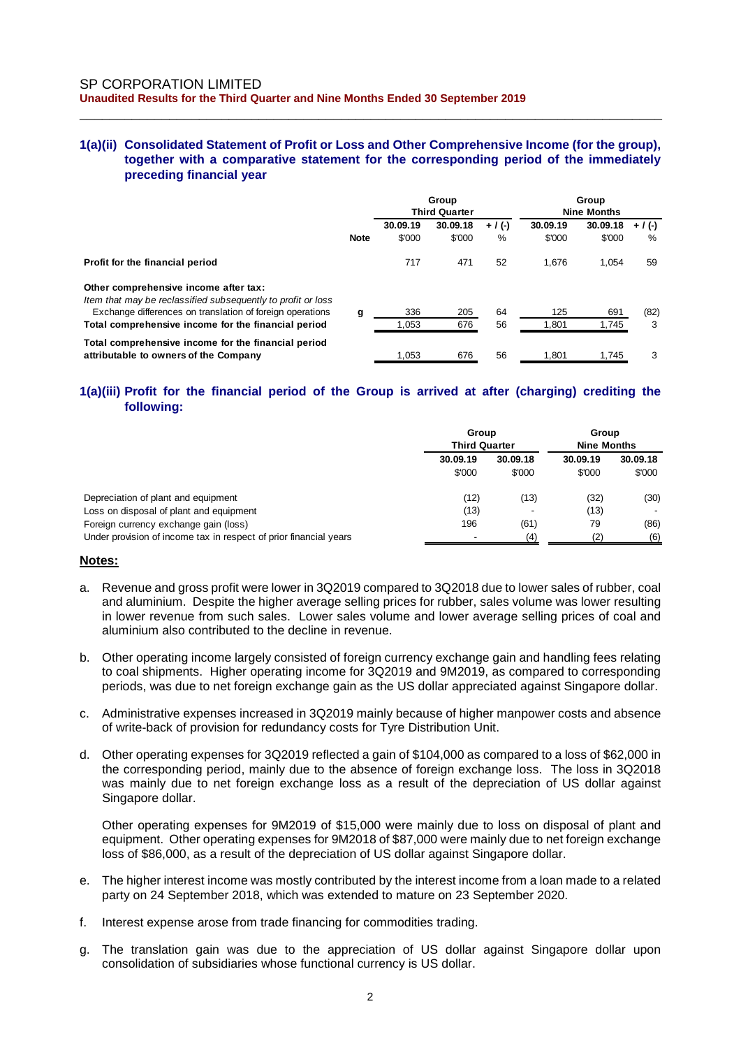#### **1(a)(ii) Consolidated Statement of Profit or Loss and Other Comprehensive Income (for the group), together with a comparative statement for the corresponding period of the immediately preceding financial year**

\_\_\_\_\_\_\_\_\_\_\_\_\_\_\_\_\_\_\_\_\_\_\_\_\_\_\_\_\_\_\_\_\_\_\_\_\_\_\_\_\_\_\_\_\_\_\_\_\_\_\_\_\_\_\_\_\_\_\_\_\_\_\_\_\_\_\_\_\_\_\_\_\_\_\_\_\_\_

|                                                                                                       |             | Group<br><b>Third Quarter</b> |                    |                | Group<br><b>Nine Months</b> |                    |                |
|-------------------------------------------------------------------------------------------------------|-------------|-------------------------------|--------------------|----------------|-----------------------------|--------------------|----------------|
|                                                                                                       | <b>Note</b> | 30.09.19<br>\$'000            | 30.09.18<br>\$'000 | $+$ / (-)<br>% | 30.09.19<br>\$'000          | 30.09.18<br>\$'000 | $+$ / (-)<br>% |
| Profit for the financial period                                                                       |             | 717                           | 471                | 52             | 1.676                       | 1.054              | 59             |
| Other comprehensive income after tax:<br>Item that may be reclassified subsequently to profit or loss |             |                               |                    |                |                             |                    |                |
| Exchange differences on translation of foreign operations                                             | g           | 336                           | 205                | 64             | 125                         | 691                | (82)           |
| Total comprehensive income for the financial period                                                   |             | 1.053                         | 676                | 56             | 1.801                       | 1.745              | 3              |
| Total comprehensive income for the financial period<br>attributable to owners of the Company          |             | 1.053                         | 676                | 56             | 1.801                       | 1.745              | 3              |

## **1(a)(iii) Profit for the financial period of the Group is arrived at after (charging) crediting the following:**

|                                                                   | Group<br><b>Third Quarter</b> |                    | Group<br><b>Nine Months</b> |                    |
|-------------------------------------------------------------------|-------------------------------|--------------------|-----------------------------|--------------------|
|                                                                   | 30.09.19<br>\$'000            | 30.09.18<br>\$'000 | 30.09.19<br>\$'000          | 30.09.18<br>\$'000 |
| Depreciation of plant and equipment                               | (12)                          | (13)               | (32)                        | (30)               |
| Loss on disposal of plant and equipment                           | (13)                          |                    | (13)                        |                    |
| Foreign currency exchange gain (loss)                             | 196                           | (61)               | 79                          | (86)               |
| Under provision of income tax in respect of prior financial years | $\overline{\phantom{0}}$      | (4)                | (2)                         | (6)                |

#### **Notes:**

- a. Revenue and gross profit were lower in 3Q2019 compared to 3Q2018 due to lower sales of rubber, coal and aluminium. Despite the higher average selling prices for rubber, sales volume was lower resulting in lower revenue from such sales. Lower sales volume and lower average selling prices of coal and aluminium also contributed to the decline in revenue.
- b. Other operating income largely consisted of foreign currency exchange gain and handling fees relating to coal shipments. Higher operating income for 3Q2019 and 9M2019, as compared to corresponding periods, was due to net foreign exchange gain as the US dollar appreciated against Singapore dollar.
- c. Administrative expenses increased in 3Q2019 mainly because of higher manpower costs and absence of write-back of provision for redundancy costs for Tyre Distribution Unit.
- d. Other operating expenses for 3Q2019 reflected a gain of \$104,000 as compared to a loss of \$62,000 in the corresponding period, mainly due to the absence of foreign exchange loss. The loss in 3Q2018 was mainly due to net foreign exchange loss as a result of the depreciation of US dollar against Singapore dollar.

Other operating expenses for 9M2019 of \$15,000 were mainly due to loss on disposal of plant and equipment. Other operating expenses for 9M2018 of \$87,000 were mainly due to net foreign exchange loss of \$86,000, as a result of the depreciation of US dollar against Singapore dollar.

- e. The higher interest income was mostly contributed by the interest income from a loan made to a related party on 24 September 2018, which was extended to mature on 23 September 2020.
- f. Interest expense arose from trade financing for commodities trading.
- g. The translation gain was due to the appreciation of US dollar against Singapore dollar upon consolidation of subsidiaries whose functional currency is US dollar.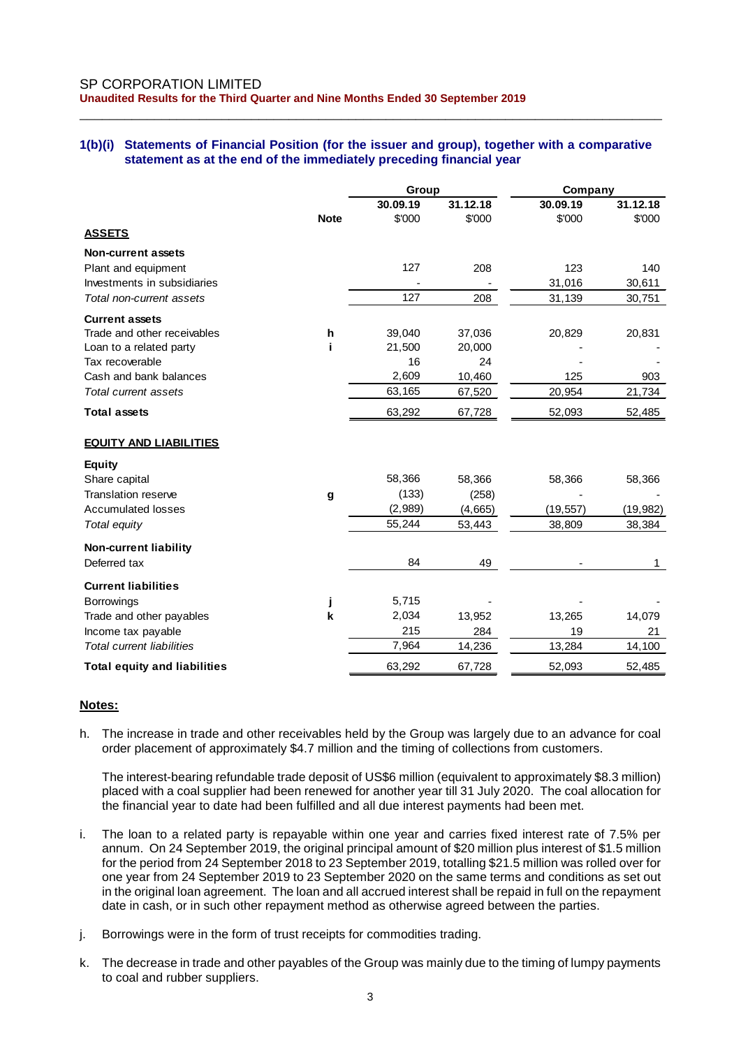# **1(b)(i) Statements of Financial Position (for the issuer and group), together with a comparative statement as at the end of the immediately preceding financial year**

\_\_\_\_\_\_\_\_\_\_\_\_\_\_\_\_\_\_\_\_\_\_\_\_\_\_\_\_\_\_\_\_\_\_\_\_\_\_\_\_\_\_\_\_\_\_\_\_\_\_\_\_\_\_\_\_\_\_\_\_\_\_\_\_\_\_\_\_\_\_\_\_\_\_\_\_\_\_

|                                     |             | Group              |                    | Company            |                    |  |
|-------------------------------------|-------------|--------------------|--------------------|--------------------|--------------------|--|
|                                     | <b>Note</b> | 30.09.19<br>\$'000 | 31.12.18<br>\$'000 | 30.09.19<br>\$'000 | 31.12.18<br>\$'000 |  |
| <b>ASSETS</b>                       |             |                    |                    |                    |                    |  |
| <b>Non-current assets</b>           |             |                    |                    |                    |                    |  |
| Plant and equipment                 |             | 127                | 208                | 123                | 140                |  |
| Investments in subsidiaries         |             |                    |                    | 31,016             | 30,611             |  |
| Total non-current assets            |             | 127                | 208                | 31,139             | 30,751             |  |
| <b>Current assets</b>               |             |                    |                    |                    |                    |  |
| Trade and other receivables         | h           | 39,040             | 37,036             | 20,829             | 20,831             |  |
| Loan to a related party             |             | 21,500             | 20,000             |                    |                    |  |
| Tax recoverable                     |             | 16                 | 24                 |                    |                    |  |
| Cash and bank balances              |             | 2,609              | 10,460             | 125                | 903                |  |
| <b>Total current assets</b>         |             | 63,165             | 67,520             | 20,954             | 21,734             |  |
| <b>Total assets</b>                 |             | 63,292             | 67,728             | 52,093             | 52,485             |  |
| <b>EQUITY AND LIABILITIES</b>       |             |                    |                    |                    |                    |  |
| <b>Equity</b>                       |             |                    |                    |                    |                    |  |
| Share capital                       |             | 58,366             | 58,366             | 58,366             | 58,366             |  |
| <b>Translation reserve</b>          | g           | (133)              | (258)              |                    |                    |  |
| <b>Accumulated losses</b>           |             | (2,989)            | (4,665)            | (19, 557)          | (19, 982)          |  |
| Total equity                        |             | 55,244             | 53,443             | 38,809             | 38,384             |  |
| <b>Non-current liability</b>        |             |                    |                    |                    |                    |  |
| Deferred tax                        |             | 84                 | 49                 |                    | $\mathbf 1$        |  |
| <b>Current liabilities</b>          |             |                    |                    |                    |                    |  |
| <b>Borrowings</b>                   |             | 5,715              |                    |                    |                    |  |
| Trade and other payables            | k           | 2,034              | 13,952             | 13,265             | 14,079             |  |
| Income tax payable                  |             | 215                | 284                | 19                 | 21                 |  |
| <b>Total current liabilities</b>    |             | 7,964              | 14,236             | 13,284             | 14,100             |  |
| <b>Total equity and liabilities</b> |             | 63,292             | 67,728             | 52,093             | 52,485             |  |

# **Notes:**

h. The increase in trade and other receivables held by the Group was largely due to an advance for coal order placement of approximately \$4.7 million and the timing of collections from customers.

The interest-bearing refundable trade deposit of US\$6 million (equivalent to approximately \$8.3 million) placed with a coal supplier had been renewed for another year till 31 July 2020. The coal allocation for the financial year to date had been fulfilled and all due interest payments had been met.

- i. The loan to a related party is repayable within one year and carries fixed interest rate of 7.5% per annum. On 24 September 2019, the original principal amount of \$20 million plus interest of \$1.5 million for the period from 24 September 2018 to 23 September 2019, totalling \$21.5 million was rolled over for one year from 24 September 2019 to 23 September 2020 on the same terms and conditions as set out in the original loan agreement. The loan and all accrued interest shall be repaid in full on the repayment date in cash, or in such other repayment method as otherwise agreed between the parties.
- j. Borrowings were in the form of trust receipts for commodities trading.
- k. The decrease in trade and other payables of the Group was mainly due to the timing of lumpy payments to coal and rubber suppliers.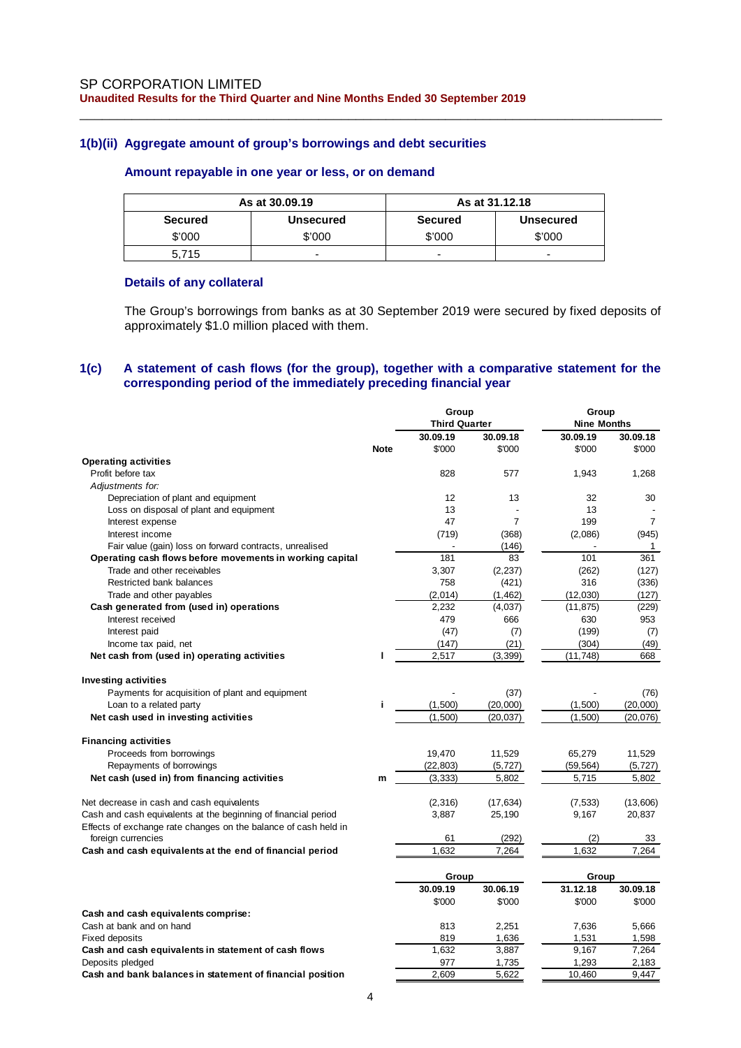#### **1(b)(ii) Aggregate amount of group's borrowings and debt securities**

# **Amount repayable in one year or less, or on demand**

|                | As at 30,09.19   | As at 31.12.18 |                  |  |  |
|----------------|------------------|----------------|------------------|--|--|
| <b>Secured</b> | <b>Unsecured</b> | <b>Secured</b> | <b>Unsecured</b> |  |  |
| \$'000         | \$'000           | \$'000         | \$'000           |  |  |
| 5.715          | -                | -              | -                |  |  |

\_\_\_\_\_\_\_\_\_\_\_\_\_\_\_\_\_\_\_\_\_\_\_\_\_\_\_\_\_\_\_\_\_\_\_\_\_\_\_\_\_\_\_\_\_\_\_\_\_\_\_\_\_\_\_\_\_\_\_\_\_\_\_\_\_\_\_\_\_\_\_\_\_\_\_\_\_\_

#### **Details of any collateral**

The Group's borrowings from banks as at 30 September 2019 were secured by fixed deposits of approximately \$1.0 million placed with them.

#### **1(c) A statement of cash flows (for the group), together with a comparative statement for the corresponding period of the immediately preceding financial year**

|                                                                 |             | Group                |                | Group              |                |  |
|-----------------------------------------------------------------|-------------|----------------------|----------------|--------------------|----------------|--|
|                                                                 |             | <b>Third Quarter</b> |                | <b>Nine Months</b> |                |  |
|                                                                 |             | 30.09.19             | 30.09.18       | 30.09.19           | 30.09.18       |  |
|                                                                 | <b>Note</b> | \$'000               | \$'000         | \$'000             | \$'000         |  |
| <b>Operating activities</b>                                     |             |                      |                |                    |                |  |
| Profit before tax                                               |             | 828                  | 577            | 1,943              | 1,268          |  |
| Adjustments for:                                                |             |                      |                |                    |                |  |
| Depreciation of plant and equipment                             |             | 12                   | 13             | 32                 | 30             |  |
| Loss on disposal of plant and equipment                         |             | 13                   |                | 13                 |                |  |
| Interest expense                                                |             | 47                   | $\overline{7}$ | 199                | $\overline{7}$ |  |
| Interest income                                                 |             | (719)                | (368)          | (2,086)            | (945)          |  |
| Fair value (gain) loss on forward contracts, unrealised         |             |                      | (146)          |                    | 1              |  |
| Operating cash flows before movements in working capital        |             | 181                  | 83             | 101                | 361            |  |
| Trade and other receivables                                     |             | 3,307                | (2, 237)       | (262)              | (127)          |  |
| Restricted bank balances                                        |             | 758                  | (421)          | 316                | (336)          |  |
| Trade and other payables                                        |             | (2,014)              | (1, 462)       | (12,030)           | (127)          |  |
| Cash generated from (used in) operations                        |             | 2,232                | (4,037)        | (11, 875)          | (229)          |  |
| Interest received                                               |             | 479                  | 666            | 630                | 953            |  |
| Interest paid                                                   |             | (47)                 | (7)            | (199)              | (7)            |  |
| Income tax paid, net                                            |             | (147)                | (21)           | (304)              | (49)           |  |
| Net cash from (used in) operating activities                    | п           | 2,517                | (3, 399)       | (11, 748)          | 668            |  |
|                                                                 |             |                      |                |                    |                |  |
| <b>Investing activities</b>                                     |             |                      |                |                    |                |  |
| Payments for acquisition of plant and equipment                 |             |                      | (37)           |                    | (76)           |  |
|                                                                 | Î.          | (1,500)              | (20,000)       | (1,500)            | (20,000)       |  |
| Loan to a related party                                         |             |                      |                |                    |                |  |
| Net cash used in investing activities                           |             | (1,500)              | (20, 037)      | (1,500)            | (20, 076)      |  |
| <b>Financing activities</b>                                     |             |                      |                |                    |                |  |
| Proceeds from borrowings                                        |             | 19,470               | 11,529         | 65,279             | 11,529         |  |
| Repayments of borrowings                                        |             | (22, 803)            | (5, 727)       | (59, 564)          | (5, 727)       |  |
|                                                                 |             |                      |                |                    |                |  |
| Net cash (used in) from financing activities                    | m           | (3, 333)             | 5,802          | 5,715              | 5,802          |  |
| Net decrease in cash and cash equivalents                       |             | (2, 316)             |                | (7, 533)           | (13,606)       |  |
|                                                                 |             | 3,887                | (17, 634)      | 9,167              |                |  |
| Cash and cash equivalents at the beginning of financial period  |             |                      | 25,190         |                    | 20,837         |  |
| Effects of exchange rate changes on the balance of cash held in |             |                      |                |                    |                |  |
| foreign currencies                                              |             | 61<br>1,632          | (292)          | (2)<br>1,632       | 33             |  |
| Cash and cash equivalents at the end of financial period        |             |                      | 7,264          |                    | 7,264          |  |
|                                                                 |             | Group                |                | Group              |                |  |
|                                                                 |             | 30.09.19             | 30.06.19       | 31.12.18           | 30.09.18       |  |
|                                                                 |             | \$'000               | \$'000         | \$'000             | \$'000         |  |
| Cash and cash equivalents comprise:                             |             |                      |                |                    |                |  |
| Cash at bank and on hand                                        |             | 813                  | 2,251          | 7,636              | 5,666          |  |
| <b>Fixed deposits</b>                                           |             | 819                  | 1,636          | 1,531              | 1,598          |  |
|                                                                 |             | 1,632                | 3,887          | 9,167              | 7,264          |  |
| Cash and cash equivalents in statement of cash flows            |             |                      |                | 1,293              |                |  |
| Deposits pledged                                                |             | 977                  | 1,735          |                    | 2,183          |  |
| Cash and bank balances in statement of financial position       |             | 2,609                | 5,622          | 10.460             | 9.447          |  |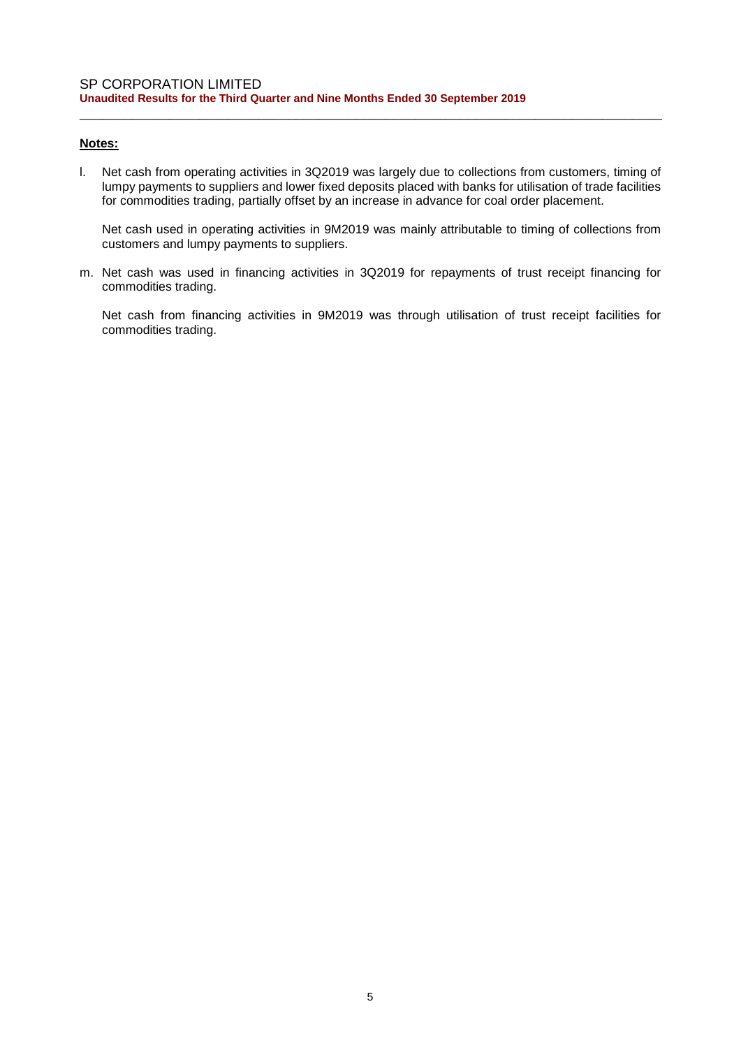# **Notes:**

l. Net cash from operating activities in 3Q2019 was largely due to collections from customers, timing of lumpy payments to suppliers and lower fixed deposits placed with banks for utilisation of trade facilities for commodities trading, partially offset by an increase in advance for coal order placement.

\_\_\_\_\_\_\_\_\_\_\_\_\_\_\_\_\_\_\_\_\_\_\_\_\_\_\_\_\_\_\_\_\_\_\_\_\_\_\_\_\_\_\_\_\_\_\_\_\_\_\_\_\_\_\_\_\_\_\_\_\_\_\_\_\_\_\_\_\_\_\_\_\_\_\_\_\_\_

Net cash used in operating activities in 9M2019 was mainly attributable to timing of collections from customers and lumpy payments to suppliers.

m. Net cash was used in financing activities in 3Q2019 for repayments of trust receipt financing for commodities trading.

Net cash from financing activities in 9M2019 was through utilisation of trust receipt facilities for commodities trading.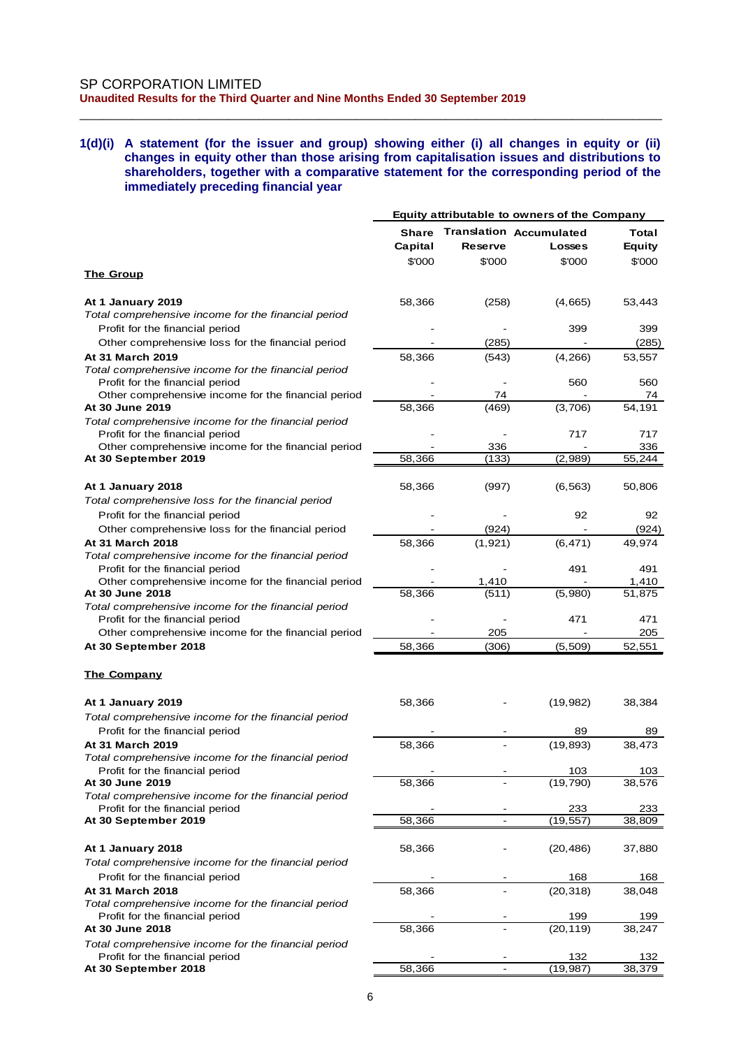#### **1(d)(i) A statement (for the issuer and group) showing either (i) all changes in equity or (ii) changes in equity other than those arising from capitalisation issues and distributions to shareholders, together with a comparative statement for the corresponding period of the immediately preceding financial year**

\_\_\_\_\_\_\_\_\_\_\_\_\_\_\_\_\_\_\_\_\_\_\_\_\_\_\_\_\_\_\_\_\_\_\_\_\_\_\_\_\_\_\_\_\_\_\_\_\_\_\_\_\_\_\_\_\_\_\_\_\_\_\_\_\_\_\_\_\_\_\_\_\_\_\_\_\_\_

| <b>Translation Accumulated</b><br>Share<br>Total<br>Capital<br><b>Reserve</b><br><b>Equity</b><br><b>Losses</b><br>\$'000<br>\$'000<br>\$'000<br>\$'000<br><u>The Group</u><br>At 1 January 2019<br>58,366<br>(258)<br>53,443<br>(4,665)<br>Total comprehensive income for the financial period<br>399<br>Profit for the financial period<br>399<br>Other comprehensive loss for the financial period<br>(285)<br>(285)<br>At 31 March 2019<br>58,366<br>(543)<br>(4,266)<br>53,557<br>Total comprehensive income for the financial period<br>Profit for the financial period<br>560<br>560<br>Other comprehensive income for the financial period<br>74<br>74<br>At 30 June 2019<br>58,366<br>(3,706)<br>54,191<br>(469)<br>Total comprehensive income for the financial period<br>Profit for the financial period<br>717<br>717<br>Other comprehensive income for the financial period<br>336<br>336<br>58,366<br>At 30 September 2019<br>(133)<br>(2,989)<br>55,244<br>At 1 January 2018<br>58,366<br>50,806<br>(997)<br>(6, 563)<br>Total comprehensive loss for the financial period<br>Profit for the financial period<br>92<br>92<br>Other comprehensive loss for the financial period<br>(924)<br>(924)<br>At 31 March 2018<br>58,366<br>(1, 921)<br>(6, 471)<br>49,974<br>Total comprehensive income for the financial period<br>Profit for the financial period<br>491<br>491<br>Other comprehensive income for the financial period<br>1,410<br>1,410<br>(511)<br>58,366<br>(5,980)<br>51,875<br>At 30 June 2018<br>Total comprehensive income for the financial period<br>Profit for the financial period<br>471<br>471<br>205<br>Other comprehensive income for the financial period<br>205<br>At 30 September 2018<br>58,366<br>(306)<br>(5,509)<br>52,551<br><u>The Company</u><br>58,366<br>(19,982)<br>At 1 January 2019<br>38,384<br>Total comprehensive income for the financial period<br>Profit for the financial period<br>89<br>89<br>At 31 March 2019<br>58,366<br>(19, 893)<br>38,473<br>Total comprehensive income for the financial period<br>103<br>103<br>Profit for the financial period<br>58,366<br>(19, 790)<br>38,576<br>At 30 June 2019<br>Total comprehensive income for the financial period<br>Profit for the financial period<br>233<br>233<br>58,366<br>(19, 557)<br>38,809<br>At 30 September 2019<br>$\blacksquare$<br>At 1 January 2018<br>58,366<br>(20, 486)<br>37,880<br>Total comprehensive income for the financial period<br>Profit for the financial period<br>168<br>168<br>58,366<br>(20, 318)<br>38,048<br>At 31 March 2018<br>Total comprehensive income for the financial period<br>Profit for the financial period<br>199<br>199<br>58,366<br>(20, 119)<br>38,247<br>At 30 June 2018<br>Total comprehensive income for the financial period<br>132<br>Profit for the financial period<br>132<br>58,366<br>(19, 987)<br>38,379<br>At 30 September 2018<br>$\overline{\phantom{a}}$ | Equity attributable to owners of the Company |  |  |  |  |  |
|-------------------------------------------------------------------------------------------------------------------------------------------------------------------------------------------------------------------------------------------------------------------------------------------------------------------------------------------------------------------------------------------------------------------------------------------------------------------------------------------------------------------------------------------------------------------------------------------------------------------------------------------------------------------------------------------------------------------------------------------------------------------------------------------------------------------------------------------------------------------------------------------------------------------------------------------------------------------------------------------------------------------------------------------------------------------------------------------------------------------------------------------------------------------------------------------------------------------------------------------------------------------------------------------------------------------------------------------------------------------------------------------------------------------------------------------------------------------------------------------------------------------------------------------------------------------------------------------------------------------------------------------------------------------------------------------------------------------------------------------------------------------------------------------------------------------------------------------------------------------------------------------------------------------------------------------------------------------------------------------------------------------------------------------------------------------------------------------------------------------------------------------------------------------------------------------------------------------------------------------------------------------------------------------------------------------------------------------------------------------------------------------------------------------------------------------------------------------------------------------------------------------------------------------------------------------------------------------------------------------------------------------------------------------------------------------------------------------------------------------------------------------------------------------------------------------------------------------------------------------------------------------------------------------------------------------|----------------------------------------------|--|--|--|--|--|
|                                                                                                                                                                                                                                                                                                                                                                                                                                                                                                                                                                                                                                                                                                                                                                                                                                                                                                                                                                                                                                                                                                                                                                                                                                                                                                                                                                                                                                                                                                                                                                                                                                                                                                                                                                                                                                                                                                                                                                                                                                                                                                                                                                                                                                                                                                                                                                                                                                                                                                                                                                                                                                                                                                                                                                                                                                                                                                                                           |                                              |  |  |  |  |  |
|                                                                                                                                                                                                                                                                                                                                                                                                                                                                                                                                                                                                                                                                                                                                                                                                                                                                                                                                                                                                                                                                                                                                                                                                                                                                                                                                                                                                                                                                                                                                                                                                                                                                                                                                                                                                                                                                                                                                                                                                                                                                                                                                                                                                                                                                                                                                                                                                                                                                                                                                                                                                                                                                                                                                                                                                                                                                                                                                           |                                              |  |  |  |  |  |
|                                                                                                                                                                                                                                                                                                                                                                                                                                                                                                                                                                                                                                                                                                                                                                                                                                                                                                                                                                                                                                                                                                                                                                                                                                                                                                                                                                                                                                                                                                                                                                                                                                                                                                                                                                                                                                                                                                                                                                                                                                                                                                                                                                                                                                                                                                                                                                                                                                                                                                                                                                                                                                                                                                                                                                                                                                                                                                                                           |                                              |  |  |  |  |  |
|                                                                                                                                                                                                                                                                                                                                                                                                                                                                                                                                                                                                                                                                                                                                                                                                                                                                                                                                                                                                                                                                                                                                                                                                                                                                                                                                                                                                                                                                                                                                                                                                                                                                                                                                                                                                                                                                                                                                                                                                                                                                                                                                                                                                                                                                                                                                                                                                                                                                                                                                                                                                                                                                                                                                                                                                                                                                                                                                           |                                              |  |  |  |  |  |
|                                                                                                                                                                                                                                                                                                                                                                                                                                                                                                                                                                                                                                                                                                                                                                                                                                                                                                                                                                                                                                                                                                                                                                                                                                                                                                                                                                                                                                                                                                                                                                                                                                                                                                                                                                                                                                                                                                                                                                                                                                                                                                                                                                                                                                                                                                                                                                                                                                                                                                                                                                                                                                                                                                                                                                                                                                                                                                                                           |                                              |  |  |  |  |  |
|                                                                                                                                                                                                                                                                                                                                                                                                                                                                                                                                                                                                                                                                                                                                                                                                                                                                                                                                                                                                                                                                                                                                                                                                                                                                                                                                                                                                                                                                                                                                                                                                                                                                                                                                                                                                                                                                                                                                                                                                                                                                                                                                                                                                                                                                                                                                                                                                                                                                                                                                                                                                                                                                                                                                                                                                                                                                                                                                           |                                              |  |  |  |  |  |
|                                                                                                                                                                                                                                                                                                                                                                                                                                                                                                                                                                                                                                                                                                                                                                                                                                                                                                                                                                                                                                                                                                                                                                                                                                                                                                                                                                                                                                                                                                                                                                                                                                                                                                                                                                                                                                                                                                                                                                                                                                                                                                                                                                                                                                                                                                                                                                                                                                                                                                                                                                                                                                                                                                                                                                                                                                                                                                                                           |                                              |  |  |  |  |  |
|                                                                                                                                                                                                                                                                                                                                                                                                                                                                                                                                                                                                                                                                                                                                                                                                                                                                                                                                                                                                                                                                                                                                                                                                                                                                                                                                                                                                                                                                                                                                                                                                                                                                                                                                                                                                                                                                                                                                                                                                                                                                                                                                                                                                                                                                                                                                                                                                                                                                                                                                                                                                                                                                                                                                                                                                                                                                                                                                           |                                              |  |  |  |  |  |
|                                                                                                                                                                                                                                                                                                                                                                                                                                                                                                                                                                                                                                                                                                                                                                                                                                                                                                                                                                                                                                                                                                                                                                                                                                                                                                                                                                                                                                                                                                                                                                                                                                                                                                                                                                                                                                                                                                                                                                                                                                                                                                                                                                                                                                                                                                                                                                                                                                                                                                                                                                                                                                                                                                                                                                                                                                                                                                                                           |                                              |  |  |  |  |  |
|                                                                                                                                                                                                                                                                                                                                                                                                                                                                                                                                                                                                                                                                                                                                                                                                                                                                                                                                                                                                                                                                                                                                                                                                                                                                                                                                                                                                                                                                                                                                                                                                                                                                                                                                                                                                                                                                                                                                                                                                                                                                                                                                                                                                                                                                                                                                                                                                                                                                                                                                                                                                                                                                                                                                                                                                                                                                                                                                           |                                              |  |  |  |  |  |
|                                                                                                                                                                                                                                                                                                                                                                                                                                                                                                                                                                                                                                                                                                                                                                                                                                                                                                                                                                                                                                                                                                                                                                                                                                                                                                                                                                                                                                                                                                                                                                                                                                                                                                                                                                                                                                                                                                                                                                                                                                                                                                                                                                                                                                                                                                                                                                                                                                                                                                                                                                                                                                                                                                                                                                                                                                                                                                                                           |                                              |  |  |  |  |  |
|                                                                                                                                                                                                                                                                                                                                                                                                                                                                                                                                                                                                                                                                                                                                                                                                                                                                                                                                                                                                                                                                                                                                                                                                                                                                                                                                                                                                                                                                                                                                                                                                                                                                                                                                                                                                                                                                                                                                                                                                                                                                                                                                                                                                                                                                                                                                                                                                                                                                                                                                                                                                                                                                                                                                                                                                                                                                                                                                           |                                              |  |  |  |  |  |
|                                                                                                                                                                                                                                                                                                                                                                                                                                                                                                                                                                                                                                                                                                                                                                                                                                                                                                                                                                                                                                                                                                                                                                                                                                                                                                                                                                                                                                                                                                                                                                                                                                                                                                                                                                                                                                                                                                                                                                                                                                                                                                                                                                                                                                                                                                                                                                                                                                                                                                                                                                                                                                                                                                                                                                                                                                                                                                                                           |                                              |  |  |  |  |  |
|                                                                                                                                                                                                                                                                                                                                                                                                                                                                                                                                                                                                                                                                                                                                                                                                                                                                                                                                                                                                                                                                                                                                                                                                                                                                                                                                                                                                                                                                                                                                                                                                                                                                                                                                                                                                                                                                                                                                                                                                                                                                                                                                                                                                                                                                                                                                                                                                                                                                                                                                                                                                                                                                                                                                                                                                                                                                                                                                           |                                              |  |  |  |  |  |
|                                                                                                                                                                                                                                                                                                                                                                                                                                                                                                                                                                                                                                                                                                                                                                                                                                                                                                                                                                                                                                                                                                                                                                                                                                                                                                                                                                                                                                                                                                                                                                                                                                                                                                                                                                                                                                                                                                                                                                                                                                                                                                                                                                                                                                                                                                                                                                                                                                                                                                                                                                                                                                                                                                                                                                                                                                                                                                                                           |                                              |  |  |  |  |  |
|                                                                                                                                                                                                                                                                                                                                                                                                                                                                                                                                                                                                                                                                                                                                                                                                                                                                                                                                                                                                                                                                                                                                                                                                                                                                                                                                                                                                                                                                                                                                                                                                                                                                                                                                                                                                                                                                                                                                                                                                                                                                                                                                                                                                                                                                                                                                                                                                                                                                                                                                                                                                                                                                                                                                                                                                                                                                                                                                           |                                              |  |  |  |  |  |
|                                                                                                                                                                                                                                                                                                                                                                                                                                                                                                                                                                                                                                                                                                                                                                                                                                                                                                                                                                                                                                                                                                                                                                                                                                                                                                                                                                                                                                                                                                                                                                                                                                                                                                                                                                                                                                                                                                                                                                                                                                                                                                                                                                                                                                                                                                                                                                                                                                                                                                                                                                                                                                                                                                                                                                                                                                                                                                                                           |                                              |  |  |  |  |  |
|                                                                                                                                                                                                                                                                                                                                                                                                                                                                                                                                                                                                                                                                                                                                                                                                                                                                                                                                                                                                                                                                                                                                                                                                                                                                                                                                                                                                                                                                                                                                                                                                                                                                                                                                                                                                                                                                                                                                                                                                                                                                                                                                                                                                                                                                                                                                                                                                                                                                                                                                                                                                                                                                                                                                                                                                                                                                                                                                           |                                              |  |  |  |  |  |
|                                                                                                                                                                                                                                                                                                                                                                                                                                                                                                                                                                                                                                                                                                                                                                                                                                                                                                                                                                                                                                                                                                                                                                                                                                                                                                                                                                                                                                                                                                                                                                                                                                                                                                                                                                                                                                                                                                                                                                                                                                                                                                                                                                                                                                                                                                                                                                                                                                                                                                                                                                                                                                                                                                                                                                                                                                                                                                                                           |                                              |  |  |  |  |  |
|                                                                                                                                                                                                                                                                                                                                                                                                                                                                                                                                                                                                                                                                                                                                                                                                                                                                                                                                                                                                                                                                                                                                                                                                                                                                                                                                                                                                                                                                                                                                                                                                                                                                                                                                                                                                                                                                                                                                                                                                                                                                                                                                                                                                                                                                                                                                                                                                                                                                                                                                                                                                                                                                                                                                                                                                                                                                                                                                           |                                              |  |  |  |  |  |
|                                                                                                                                                                                                                                                                                                                                                                                                                                                                                                                                                                                                                                                                                                                                                                                                                                                                                                                                                                                                                                                                                                                                                                                                                                                                                                                                                                                                                                                                                                                                                                                                                                                                                                                                                                                                                                                                                                                                                                                                                                                                                                                                                                                                                                                                                                                                                                                                                                                                                                                                                                                                                                                                                                                                                                                                                                                                                                                                           |                                              |  |  |  |  |  |
|                                                                                                                                                                                                                                                                                                                                                                                                                                                                                                                                                                                                                                                                                                                                                                                                                                                                                                                                                                                                                                                                                                                                                                                                                                                                                                                                                                                                                                                                                                                                                                                                                                                                                                                                                                                                                                                                                                                                                                                                                                                                                                                                                                                                                                                                                                                                                                                                                                                                                                                                                                                                                                                                                                                                                                                                                                                                                                                                           |                                              |  |  |  |  |  |
|                                                                                                                                                                                                                                                                                                                                                                                                                                                                                                                                                                                                                                                                                                                                                                                                                                                                                                                                                                                                                                                                                                                                                                                                                                                                                                                                                                                                                                                                                                                                                                                                                                                                                                                                                                                                                                                                                                                                                                                                                                                                                                                                                                                                                                                                                                                                                                                                                                                                                                                                                                                                                                                                                                                                                                                                                                                                                                                                           |                                              |  |  |  |  |  |
|                                                                                                                                                                                                                                                                                                                                                                                                                                                                                                                                                                                                                                                                                                                                                                                                                                                                                                                                                                                                                                                                                                                                                                                                                                                                                                                                                                                                                                                                                                                                                                                                                                                                                                                                                                                                                                                                                                                                                                                                                                                                                                                                                                                                                                                                                                                                                                                                                                                                                                                                                                                                                                                                                                                                                                                                                                                                                                                                           |                                              |  |  |  |  |  |
|                                                                                                                                                                                                                                                                                                                                                                                                                                                                                                                                                                                                                                                                                                                                                                                                                                                                                                                                                                                                                                                                                                                                                                                                                                                                                                                                                                                                                                                                                                                                                                                                                                                                                                                                                                                                                                                                                                                                                                                                                                                                                                                                                                                                                                                                                                                                                                                                                                                                                                                                                                                                                                                                                                                                                                                                                                                                                                                                           |                                              |  |  |  |  |  |
|                                                                                                                                                                                                                                                                                                                                                                                                                                                                                                                                                                                                                                                                                                                                                                                                                                                                                                                                                                                                                                                                                                                                                                                                                                                                                                                                                                                                                                                                                                                                                                                                                                                                                                                                                                                                                                                                                                                                                                                                                                                                                                                                                                                                                                                                                                                                                                                                                                                                                                                                                                                                                                                                                                                                                                                                                                                                                                                                           |                                              |  |  |  |  |  |
|                                                                                                                                                                                                                                                                                                                                                                                                                                                                                                                                                                                                                                                                                                                                                                                                                                                                                                                                                                                                                                                                                                                                                                                                                                                                                                                                                                                                                                                                                                                                                                                                                                                                                                                                                                                                                                                                                                                                                                                                                                                                                                                                                                                                                                                                                                                                                                                                                                                                                                                                                                                                                                                                                                                                                                                                                                                                                                                                           |                                              |  |  |  |  |  |
|                                                                                                                                                                                                                                                                                                                                                                                                                                                                                                                                                                                                                                                                                                                                                                                                                                                                                                                                                                                                                                                                                                                                                                                                                                                                                                                                                                                                                                                                                                                                                                                                                                                                                                                                                                                                                                                                                                                                                                                                                                                                                                                                                                                                                                                                                                                                                                                                                                                                                                                                                                                                                                                                                                                                                                                                                                                                                                                                           |                                              |  |  |  |  |  |
|                                                                                                                                                                                                                                                                                                                                                                                                                                                                                                                                                                                                                                                                                                                                                                                                                                                                                                                                                                                                                                                                                                                                                                                                                                                                                                                                                                                                                                                                                                                                                                                                                                                                                                                                                                                                                                                                                                                                                                                                                                                                                                                                                                                                                                                                                                                                                                                                                                                                                                                                                                                                                                                                                                                                                                                                                                                                                                                                           |                                              |  |  |  |  |  |
|                                                                                                                                                                                                                                                                                                                                                                                                                                                                                                                                                                                                                                                                                                                                                                                                                                                                                                                                                                                                                                                                                                                                                                                                                                                                                                                                                                                                                                                                                                                                                                                                                                                                                                                                                                                                                                                                                                                                                                                                                                                                                                                                                                                                                                                                                                                                                                                                                                                                                                                                                                                                                                                                                                                                                                                                                                                                                                                                           |                                              |  |  |  |  |  |
|                                                                                                                                                                                                                                                                                                                                                                                                                                                                                                                                                                                                                                                                                                                                                                                                                                                                                                                                                                                                                                                                                                                                                                                                                                                                                                                                                                                                                                                                                                                                                                                                                                                                                                                                                                                                                                                                                                                                                                                                                                                                                                                                                                                                                                                                                                                                                                                                                                                                                                                                                                                                                                                                                                                                                                                                                                                                                                                                           |                                              |  |  |  |  |  |
|                                                                                                                                                                                                                                                                                                                                                                                                                                                                                                                                                                                                                                                                                                                                                                                                                                                                                                                                                                                                                                                                                                                                                                                                                                                                                                                                                                                                                                                                                                                                                                                                                                                                                                                                                                                                                                                                                                                                                                                                                                                                                                                                                                                                                                                                                                                                                                                                                                                                                                                                                                                                                                                                                                                                                                                                                                                                                                                                           |                                              |  |  |  |  |  |
|                                                                                                                                                                                                                                                                                                                                                                                                                                                                                                                                                                                                                                                                                                                                                                                                                                                                                                                                                                                                                                                                                                                                                                                                                                                                                                                                                                                                                                                                                                                                                                                                                                                                                                                                                                                                                                                                                                                                                                                                                                                                                                                                                                                                                                                                                                                                                                                                                                                                                                                                                                                                                                                                                                                                                                                                                                                                                                                                           |                                              |  |  |  |  |  |
|                                                                                                                                                                                                                                                                                                                                                                                                                                                                                                                                                                                                                                                                                                                                                                                                                                                                                                                                                                                                                                                                                                                                                                                                                                                                                                                                                                                                                                                                                                                                                                                                                                                                                                                                                                                                                                                                                                                                                                                                                                                                                                                                                                                                                                                                                                                                                                                                                                                                                                                                                                                                                                                                                                                                                                                                                                                                                                                                           |                                              |  |  |  |  |  |
|                                                                                                                                                                                                                                                                                                                                                                                                                                                                                                                                                                                                                                                                                                                                                                                                                                                                                                                                                                                                                                                                                                                                                                                                                                                                                                                                                                                                                                                                                                                                                                                                                                                                                                                                                                                                                                                                                                                                                                                                                                                                                                                                                                                                                                                                                                                                                                                                                                                                                                                                                                                                                                                                                                                                                                                                                                                                                                                                           |                                              |  |  |  |  |  |
|                                                                                                                                                                                                                                                                                                                                                                                                                                                                                                                                                                                                                                                                                                                                                                                                                                                                                                                                                                                                                                                                                                                                                                                                                                                                                                                                                                                                                                                                                                                                                                                                                                                                                                                                                                                                                                                                                                                                                                                                                                                                                                                                                                                                                                                                                                                                                                                                                                                                                                                                                                                                                                                                                                                                                                                                                                                                                                                                           |                                              |  |  |  |  |  |
|                                                                                                                                                                                                                                                                                                                                                                                                                                                                                                                                                                                                                                                                                                                                                                                                                                                                                                                                                                                                                                                                                                                                                                                                                                                                                                                                                                                                                                                                                                                                                                                                                                                                                                                                                                                                                                                                                                                                                                                                                                                                                                                                                                                                                                                                                                                                                                                                                                                                                                                                                                                                                                                                                                                                                                                                                                                                                                                                           |                                              |  |  |  |  |  |
|                                                                                                                                                                                                                                                                                                                                                                                                                                                                                                                                                                                                                                                                                                                                                                                                                                                                                                                                                                                                                                                                                                                                                                                                                                                                                                                                                                                                                                                                                                                                                                                                                                                                                                                                                                                                                                                                                                                                                                                                                                                                                                                                                                                                                                                                                                                                                                                                                                                                                                                                                                                                                                                                                                                                                                                                                                                                                                                                           |                                              |  |  |  |  |  |
|                                                                                                                                                                                                                                                                                                                                                                                                                                                                                                                                                                                                                                                                                                                                                                                                                                                                                                                                                                                                                                                                                                                                                                                                                                                                                                                                                                                                                                                                                                                                                                                                                                                                                                                                                                                                                                                                                                                                                                                                                                                                                                                                                                                                                                                                                                                                                                                                                                                                                                                                                                                                                                                                                                                                                                                                                                                                                                                                           |                                              |  |  |  |  |  |
|                                                                                                                                                                                                                                                                                                                                                                                                                                                                                                                                                                                                                                                                                                                                                                                                                                                                                                                                                                                                                                                                                                                                                                                                                                                                                                                                                                                                                                                                                                                                                                                                                                                                                                                                                                                                                                                                                                                                                                                                                                                                                                                                                                                                                                                                                                                                                                                                                                                                                                                                                                                                                                                                                                                                                                                                                                                                                                                                           |                                              |  |  |  |  |  |
|                                                                                                                                                                                                                                                                                                                                                                                                                                                                                                                                                                                                                                                                                                                                                                                                                                                                                                                                                                                                                                                                                                                                                                                                                                                                                                                                                                                                                                                                                                                                                                                                                                                                                                                                                                                                                                                                                                                                                                                                                                                                                                                                                                                                                                                                                                                                                                                                                                                                                                                                                                                                                                                                                                                                                                                                                                                                                                                                           |                                              |  |  |  |  |  |
|                                                                                                                                                                                                                                                                                                                                                                                                                                                                                                                                                                                                                                                                                                                                                                                                                                                                                                                                                                                                                                                                                                                                                                                                                                                                                                                                                                                                                                                                                                                                                                                                                                                                                                                                                                                                                                                                                                                                                                                                                                                                                                                                                                                                                                                                                                                                                                                                                                                                                                                                                                                                                                                                                                                                                                                                                                                                                                                                           |                                              |  |  |  |  |  |
|                                                                                                                                                                                                                                                                                                                                                                                                                                                                                                                                                                                                                                                                                                                                                                                                                                                                                                                                                                                                                                                                                                                                                                                                                                                                                                                                                                                                                                                                                                                                                                                                                                                                                                                                                                                                                                                                                                                                                                                                                                                                                                                                                                                                                                                                                                                                                                                                                                                                                                                                                                                                                                                                                                                                                                                                                                                                                                                                           |                                              |  |  |  |  |  |
|                                                                                                                                                                                                                                                                                                                                                                                                                                                                                                                                                                                                                                                                                                                                                                                                                                                                                                                                                                                                                                                                                                                                                                                                                                                                                                                                                                                                                                                                                                                                                                                                                                                                                                                                                                                                                                                                                                                                                                                                                                                                                                                                                                                                                                                                                                                                                                                                                                                                                                                                                                                                                                                                                                                                                                                                                                                                                                                                           |                                              |  |  |  |  |  |
|                                                                                                                                                                                                                                                                                                                                                                                                                                                                                                                                                                                                                                                                                                                                                                                                                                                                                                                                                                                                                                                                                                                                                                                                                                                                                                                                                                                                                                                                                                                                                                                                                                                                                                                                                                                                                                                                                                                                                                                                                                                                                                                                                                                                                                                                                                                                                                                                                                                                                                                                                                                                                                                                                                                                                                                                                                                                                                                                           |                                              |  |  |  |  |  |
|                                                                                                                                                                                                                                                                                                                                                                                                                                                                                                                                                                                                                                                                                                                                                                                                                                                                                                                                                                                                                                                                                                                                                                                                                                                                                                                                                                                                                                                                                                                                                                                                                                                                                                                                                                                                                                                                                                                                                                                                                                                                                                                                                                                                                                                                                                                                                                                                                                                                                                                                                                                                                                                                                                                                                                                                                                                                                                                                           |                                              |  |  |  |  |  |
|                                                                                                                                                                                                                                                                                                                                                                                                                                                                                                                                                                                                                                                                                                                                                                                                                                                                                                                                                                                                                                                                                                                                                                                                                                                                                                                                                                                                                                                                                                                                                                                                                                                                                                                                                                                                                                                                                                                                                                                                                                                                                                                                                                                                                                                                                                                                                                                                                                                                                                                                                                                                                                                                                                                                                                                                                                                                                                                                           |                                              |  |  |  |  |  |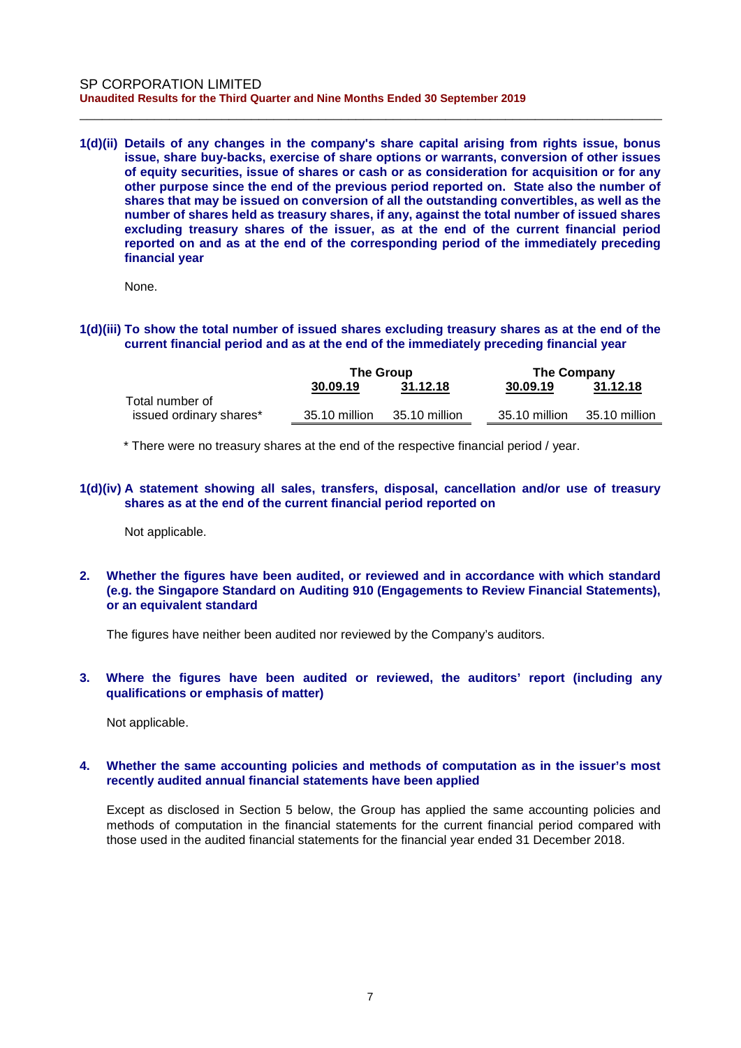**1(d)(ii) Details of any changes in the company's share capital arising from rights issue, bonus issue, share buy-backs, exercise of share options or warrants, conversion of other issues of equity securities, issue of shares or cash or as consideration for acquisition or for any other purpose since the end of the previous period reported on. State also the number of shares that may be issued on conversion of all the outstanding convertibles, as well as the number of shares held as treasury shares, if any, against the total number of issued shares excluding treasury shares of the issuer, as at the end of the current financial period reported on and as at the end of the corresponding period of the immediately preceding financial year**

\_\_\_\_\_\_\_\_\_\_\_\_\_\_\_\_\_\_\_\_\_\_\_\_\_\_\_\_\_\_\_\_\_\_\_\_\_\_\_\_\_\_\_\_\_\_\_\_\_\_\_\_\_\_\_\_\_\_\_\_\_\_\_\_\_\_\_\_\_\_\_\_\_\_\_\_\_\_

None.

#### **1(d)(iii) To show the total number of issued shares excluding treasury shares as at the end of the current financial period and as at the end of the immediately preceding financial year**

|                         | <b>The Group</b> |               | <b>The Company</b> |               |  |
|-------------------------|------------------|---------------|--------------------|---------------|--|
|                         | 30.09.19         | 31.12.18      | 30.09.19           | 31.12.18      |  |
| Total number of         |                  |               |                    |               |  |
| issued ordinary shares* | 35.10 million    | 35.10 million | 35.10 million      | 35.10 million |  |

\* There were no treasury shares at the end of the respective financial period / year.

#### **1(d)(iv) A statement showing all sales, transfers, disposal, cancellation and/or use of treasury shares as at the end of the current financial period reported on**

Not applicable.

**2. Whether the figures have been audited, or reviewed and in accordance with which standard (e.g. the Singapore Standard on Auditing 910 (Engagements to Review Financial Statements), or an equivalent standard**

The figures have neither been audited nor reviewed by the Company's auditors.

#### **3. Where the figures have been audited or reviewed, the auditors' report (including any qualifications or emphasis of matter)**

Not applicable.

#### **4. Whether the same accounting policies and methods of computation as in the issuer's most recently audited annual financial statements have been applied**

Except as disclosed in Section 5 below, the Group has applied the same accounting policies and methods of computation in the financial statements for the current financial period compared with those used in the audited financial statements for the financial year ended 31 December 2018.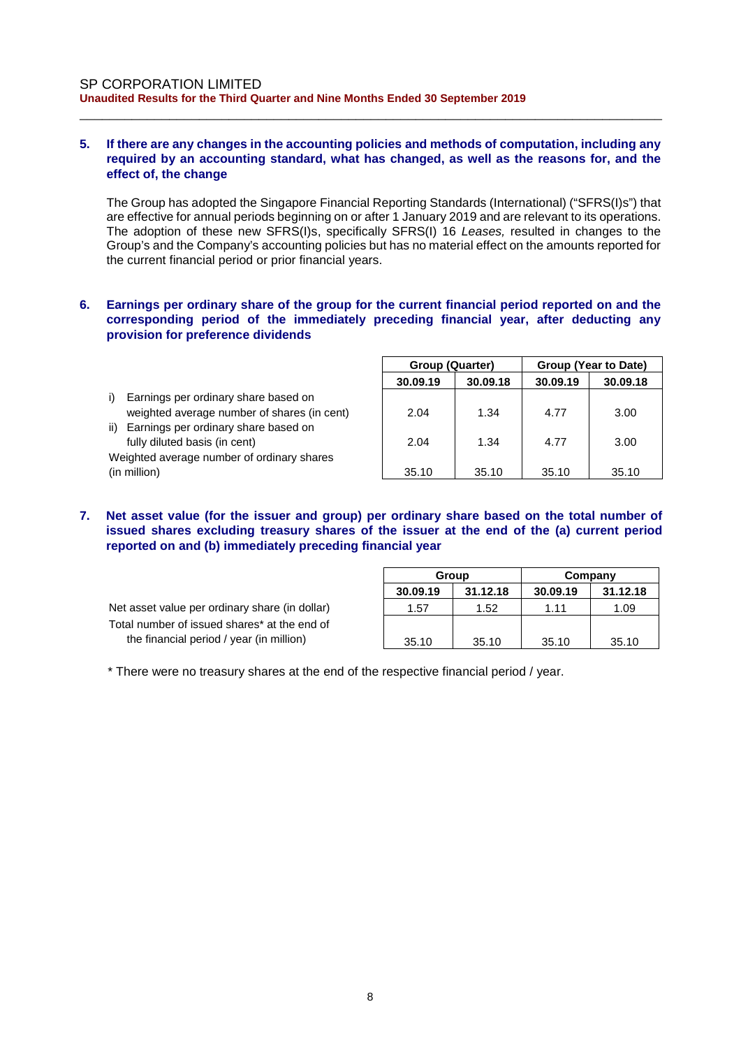### **5. If there are any changes in the accounting policies and methods of computation, including any required by an accounting standard, what has changed, as well as the reasons for, and the effect of, the change**

\_\_\_\_\_\_\_\_\_\_\_\_\_\_\_\_\_\_\_\_\_\_\_\_\_\_\_\_\_\_\_\_\_\_\_\_\_\_\_\_\_\_\_\_\_\_\_\_\_\_\_\_\_\_\_\_\_\_\_\_\_\_\_\_\_\_\_\_\_\_\_\_\_\_\_\_\_\_

The Group has adopted the Singapore Financial Reporting Standards (International) ("SFRS(I)s") that are effective for annual periods beginning on or after 1 January 2019 and are relevant to its operations. The adoption of these new SFRS(I)s, specifically SFRS(I) 16 *Leases,* resulted in changes to the Group's and the Company's accounting policies but has no material effect on the amounts reported for the current financial period or prior financial years.

## **6. Earnings per ordinary share of the group for the current financial period reported on and the corresponding period of the immediately preceding financial year, after deducting any provision for preference dividends**

|                                             | <b>Group (Quarter)</b> |          | Group (Year to Date) |          |  |
|---------------------------------------------|------------------------|----------|----------------------|----------|--|
|                                             | 30.09.19               | 30.09.18 | 30.09.19             | 30.09.18 |  |
| Earnings per ordinary share based on        |                        |          |                      |          |  |
| weighted average number of shares (in cent) | 2.04                   | 1.34     | 4.77                 | 3.00     |  |
| Earnings per ordinary share based on<br>ii) |                        |          |                      |          |  |
| fully diluted basis (in cent)               | 2.04                   | 1.34     | 4.77                 | 3.00     |  |
| Weighted average number of ordinary shares  |                        |          |                      |          |  |
| (in million)                                | 35.10                  | 35.10    | 35.10                | 35.10    |  |

# **7. Net asset value (for the issuer and group) per ordinary share based on the total number of issued shares excluding treasury shares of the issuer at the end of the (a) current period reported on and (b) immediately preceding financial year**

Net asset value per ordinary share (in dollar) Total number of issued shares\* at the end of the financial period / year (in million)

|          | Group    | Company  |          |  |  |
|----------|----------|----------|----------|--|--|
| 30.09.19 | 31.12.18 | 30.09.19 | 31.12.18 |  |  |
| 1.57     | 1.52     | 1.11     | 1.09     |  |  |
|          |          |          |          |  |  |
| 35.10    | 35.10    | 35.10    | 35.10    |  |  |

\* There were no treasury shares at the end of the respective financial period / year.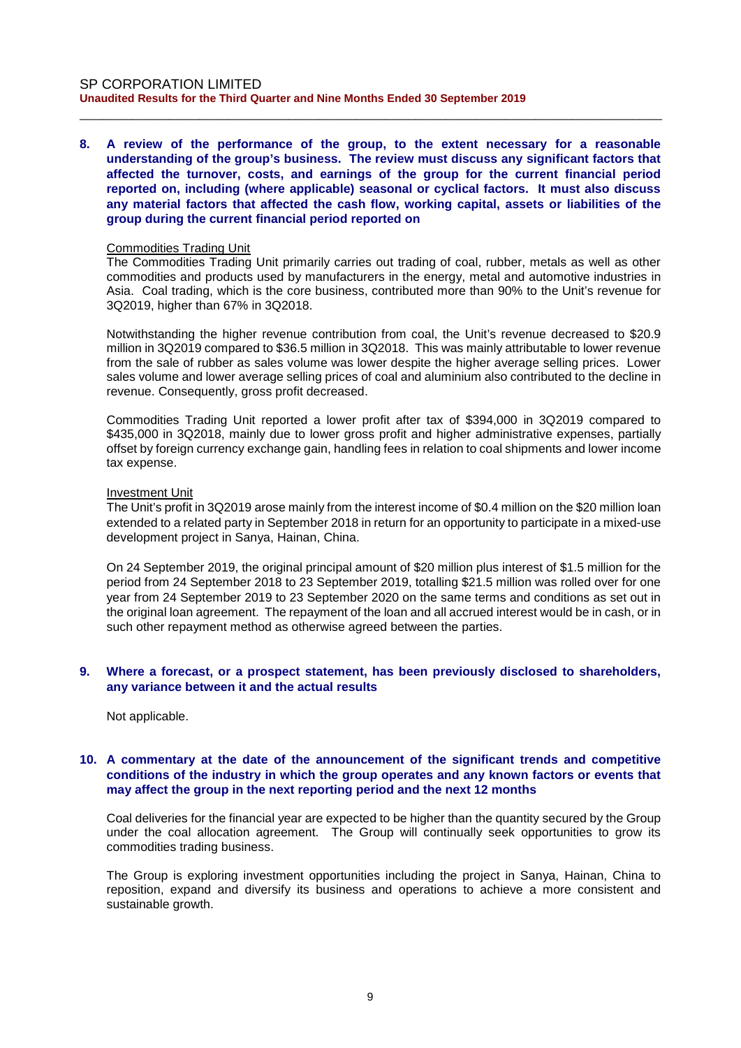**8. A review of the performance of the group, to the extent necessary for a reasonable understanding of the group's business. The review must discuss any significant factors that affected the turnover, costs, and earnings of the group for the current financial period reported on, including (where applicable) seasonal or cyclical factors. It must also discuss any material factors that affected the cash flow, working capital, assets or liabilities of the group during the current financial period reported on**

\_\_\_\_\_\_\_\_\_\_\_\_\_\_\_\_\_\_\_\_\_\_\_\_\_\_\_\_\_\_\_\_\_\_\_\_\_\_\_\_\_\_\_\_\_\_\_\_\_\_\_\_\_\_\_\_\_\_\_\_\_\_\_\_\_\_\_\_\_\_\_\_\_\_\_\_\_\_

#### Commodities Trading Unit

The Commodities Trading Unit primarily carries out trading of coal, rubber, metals as well as other commodities and products used by manufacturers in the energy, metal and automotive industries in Asia. Coal trading, which is the core business, contributed more than 90% to the Unit's revenue for 3Q2019, higher than 67% in 3Q2018.

Notwithstanding the higher revenue contribution from coal, the Unit's revenue decreased to \$20.9 million in 3Q2019 compared to \$36.5 million in 3Q2018. This was mainly attributable to lower revenue from the sale of rubber as sales volume was lower despite the higher average selling prices. Lower sales volume and lower average selling prices of coal and aluminium also contributed to the decline in revenue. Consequently, gross profit decreased.

Commodities Trading Unit reported a lower profit after tax of \$394,000 in 3Q2019 compared to \$435,000 in 3Q2018, mainly due to lower gross profit and higher administrative expenses, partially offset by foreign currency exchange gain, handling fees in relation to coal shipments and lower income tax expense.

#### Investment Unit

The Unit's profit in 3Q2019 arose mainly from the interest income of \$0.4 million on the \$20 million loan extended to a related party in September 2018 in return for an opportunity to participate in a mixed-use development project in Sanya, Hainan, China.

On 24 September 2019, the original principal amount of \$20 million plus interest of \$1.5 million for the period from 24 September 2018 to 23 September 2019, totalling \$21.5 million was rolled over for one year from 24 September 2019 to 23 September 2020 on the same terms and conditions as set out in the original loan agreement. The repayment of the loan and all accrued interest would be in cash, or in such other repayment method as otherwise agreed between the parties.

#### **9. Where a forecast, or a prospect statement, has been previously disclosed to shareholders, any variance between it and the actual results**

Not applicable.

#### **10. A commentary at the date of the announcement of the significant trends and competitive conditions of the industry in which the group operates and any known factors or events that may affect the group in the next reporting period and the next 12 months**

Coal deliveries for the financial year are expected to be higher than the quantity secured by the Group under the coal allocation agreement. The Group will continually seek opportunities to grow its commodities trading business.

The Group is exploring investment opportunities including the project in Sanya, Hainan, China to reposition, expand and diversify its business and operations to achieve a more consistent and sustainable growth.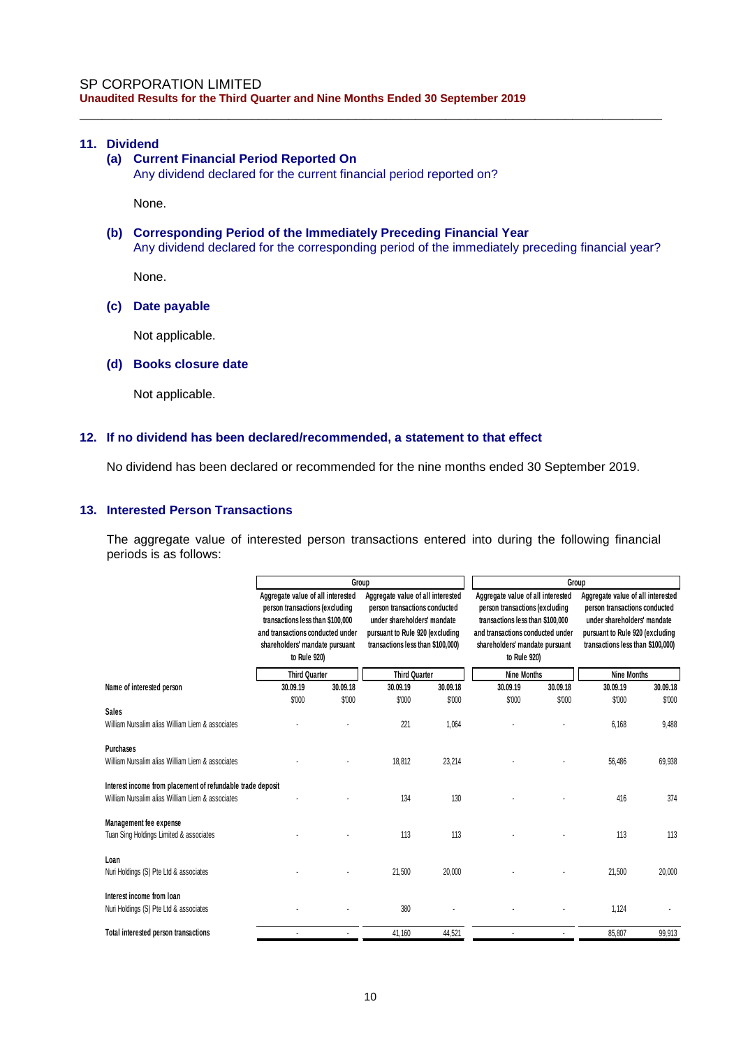# **11. Dividend**

# **(a) Current Financial Period Reported On**

Any dividend declared for the current financial period reported on?

None.

# **(b) Corresponding Period of the Immediately Preceding Financial Year**

Any dividend declared for the corresponding period of the immediately preceding financial year?

\_\_\_\_\_\_\_\_\_\_\_\_\_\_\_\_\_\_\_\_\_\_\_\_\_\_\_\_\_\_\_\_\_\_\_\_\_\_\_\_\_\_\_\_\_\_\_\_\_\_\_\_\_\_\_\_\_\_\_\_\_\_\_\_\_\_\_\_\_\_\_\_\_\_\_\_\_\_

None.

# **(c) Date payable**

Not applicable.

#### **(d) Books closure date**

Not applicable.

#### **12. If no dividend has been declared/recommended, a statement to that effect**

No dividend has been declared or recommended for the nine months ended 30 September 2019.

#### **13. Interested Person Transactions**

The aggregate value of interested person transactions entered into during the following financial periods is as follows:

|                                                                                                                |                                                                                                                                                                                               | Group    |                                                                                                                                                                           |                 |                                                                                                                                                                                               | Group    |                                                                                                                                                                           |                 |  |
|----------------------------------------------------------------------------------------------------------------|-----------------------------------------------------------------------------------------------------------------------------------------------------------------------------------------------|----------|---------------------------------------------------------------------------------------------------------------------------------------------------------------------------|-----------------|-----------------------------------------------------------------------------------------------------------------------------------------------------------------------------------------------|----------|---------------------------------------------------------------------------------------------------------------------------------------------------------------------------|-----------------|--|
|                                                                                                                | Aggregate value of all interested<br>person transactions (excluding<br>transactions less than \$100,000<br>and transactions conducted under<br>shareholders' mandate pursuant<br>to Rule 920) |          | Aggregate value of all interested<br>person transactions conducted<br>under shareholders' mandate<br>pursuant to Rule 920 (excluding<br>transactions less than \$100,000) |                 | Aggregate value of all interested<br>person transactions (excluding<br>transactions less than \$100,000<br>and transactions conducted under<br>shareholders' mandate pursuant<br>to Rule 920) |          | Aggregate value of all interested<br>person transactions conducted<br>under shareholders' mandate<br>pursuant to Rule 920 (excluding<br>transactions less than \$100,000) |                 |  |
|                                                                                                                | <b>Third Quarter</b>                                                                                                                                                                          |          | <b>Third Quarter</b>                                                                                                                                                      |                 | <b>Nine Months</b>                                                                                                                                                                            |          | <b>Nine Months</b>                                                                                                                                                        |                 |  |
| Name of interested person                                                                                      | 30.09.19                                                                                                                                                                                      | 30.09.18 | 30.09.19                                                                                                                                                                  | 30.09.18        | 30.09.19                                                                                                                                                                                      | 30.09.18 | 30.09.19                                                                                                                                                                  | 30.09.18        |  |
| <b>Sales</b><br>William Nursalim alias William Liem & associates                                               | \$'000                                                                                                                                                                                        | \$'000   | \$'000<br>221                                                                                                                                                             | \$'000<br>1.064 | \$'000                                                                                                                                                                                        | \$'000   | \$'000<br>6.168                                                                                                                                                           | \$'000<br>9,488 |  |
| <b>Purchases</b><br>William Nursalim alias William Liem & associates                                           |                                                                                                                                                                                               |          | 18,812                                                                                                                                                                    | 23,214          |                                                                                                                                                                                               |          | 56,486                                                                                                                                                                    | 69,938          |  |
| Interest income from placement of refundable trade deposit<br>William Nursalim alias William Liem & associates |                                                                                                                                                                                               |          | 134                                                                                                                                                                       | 130             |                                                                                                                                                                                               |          | 416                                                                                                                                                                       | 374             |  |
| Management fee expense<br>Tuan Sing Holdings Limited & associates                                              |                                                                                                                                                                                               |          | 113                                                                                                                                                                       | 113             |                                                                                                                                                                                               |          | 113                                                                                                                                                                       | 113             |  |
| Loan<br>Nuri Holdings (S) Pte Ltd & associates                                                                 |                                                                                                                                                                                               |          | 21,500                                                                                                                                                                    | 20,000          |                                                                                                                                                                                               |          | 21,500                                                                                                                                                                    | 20,000          |  |
| Interest income from loan<br>Nuri Holdings (S) Pte Ltd & associates                                            |                                                                                                                                                                                               |          | 380                                                                                                                                                                       |                 |                                                                                                                                                                                               |          | 1,124                                                                                                                                                                     |                 |  |
| Total interested person transactions                                                                           |                                                                                                                                                                                               |          | 41.160                                                                                                                                                                    | 44.521          |                                                                                                                                                                                               |          | 85.807                                                                                                                                                                    | 99.913          |  |